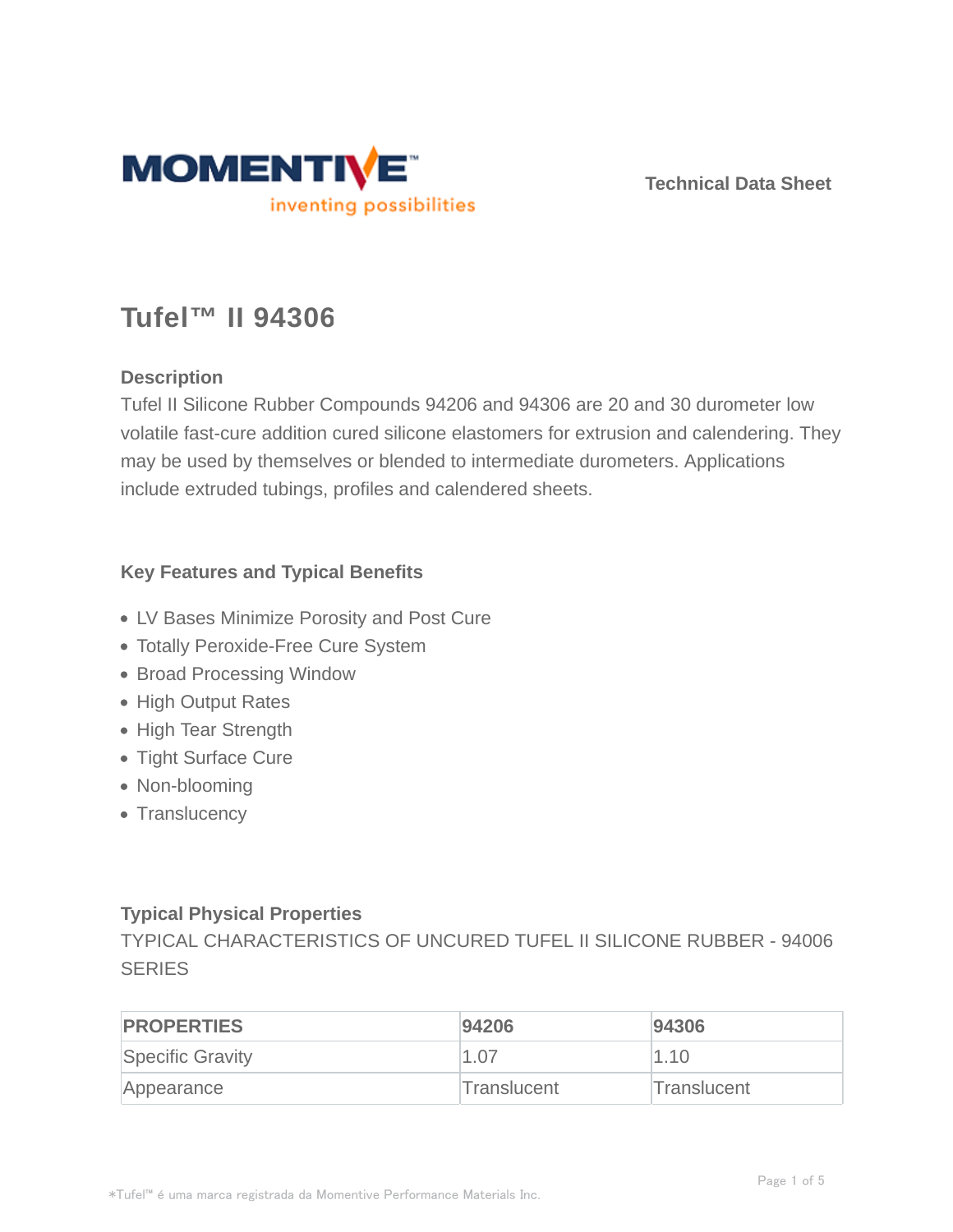

**Technical Data Sheet**

## **Tufel™ II 94306**

#### **Description**

Tufel II Silicone Rubber Compounds 94206 and 94306 are 20 and 30 durometer low volatile fast-cure addition cured silicone elastomers for extrusion and calendering. They may be used by themselves or blended to intermediate durometers. Applications include extruded tubings, profiles and calendered sheets.

#### **Key Features and Typical Benefits**

- LV Bases Minimize Porosity and Post Cure
- Totally Peroxide-Free Cure System
- Broad Processing Window
- High Output Rates
- High Tear Strength
- Tight Surface Cure
- Non-blooming
- Translucency

#### **Typical Physical Properties**

TYPICAL CHARACTERISTICS OF UNCURED TUFEL II SILICONE RUBBER - 94006 **SERIES** 

| <b>PROPERTIES</b> | 94206       | 94306       |
|-------------------|-------------|-------------|
| Specific Gravity  | 1.07        | 1.10        |
| Appearance        | Translucent | Translucent |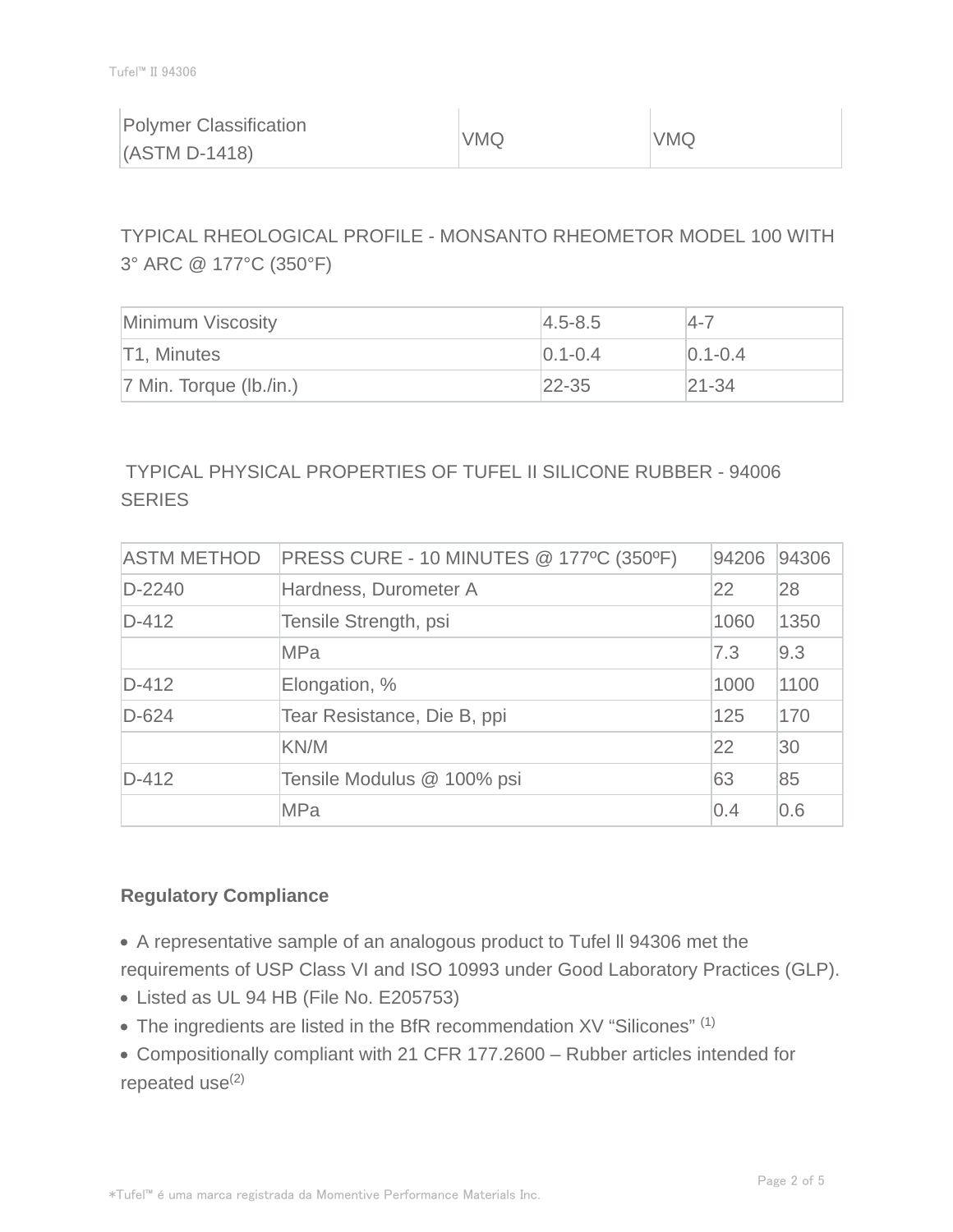| <b>Polymer Classification</b><br>$(ASTM D-1418)$ | VMQ | <b>VMQ</b> |
|--------------------------------------------------|-----|------------|
|                                                  |     |            |

TYPICAL RHEOLOGICAL PROFILE - MONSANTO RHEOMETOR MODEL 100 WITH 3° ARC @ 177°C (350°F)

| Minimum Viscosity          | $ 4.5 - 8.5 $ | $14 - 7$      |
|----------------------------|---------------|---------------|
| T1, Minutes                | $ 0.1 - 0.4 $ | $ 0.1 - 0.4 $ |
| $ 7$ Min. Torque (lb./in.) | $22 - 35$     | $ 21 - 34$    |

## TYPICAL PHYSICAL PROPERTIES OF TUFEL II SILICONE RUBBER - 94006 **SERIES**

| <b>ASTM METHOD</b> | PRESS CURE - 10 MINUTES @ 177°C (350°F) |      | 94306 |
|--------------------|-----------------------------------------|------|-------|
| $D-2240$           | Hardness, Durometer A                   | 22   | 28    |
| $D-412$            | Tensile Strength, psi                   | 1060 | 1350  |
|                    | <b>MPa</b>                              | 7.3  | 9.3   |
| $D-412$            | Elongation, %                           | 1000 | 1100  |
| $D-624$            | Tear Resistance, Die B, ppi             | 125  | 170   |
|                    | KN/M                                    | 22   | 30    |
| $D-412$            | Tensile Modulus @ 100% psi              | 63   | 85    |
|                    | <b>MPa</b>                              | 0.4  | 0.6   |

#### **Regulatory Compliance**

- A representative sample of an analogous product to Tufel ll 94306 met the requirements of USP Class VI and ISO 10993 under Good Laboratory Practices (GLP).
- Listed as UL 94 HB (File No. E205753)
- The ingredients are listed in the BfR recommendation XV "Silicones" (1)
- Compositionally compliant with 21 CFR 177.2600 Rubber articles intended for repeated  $use^{(2)}$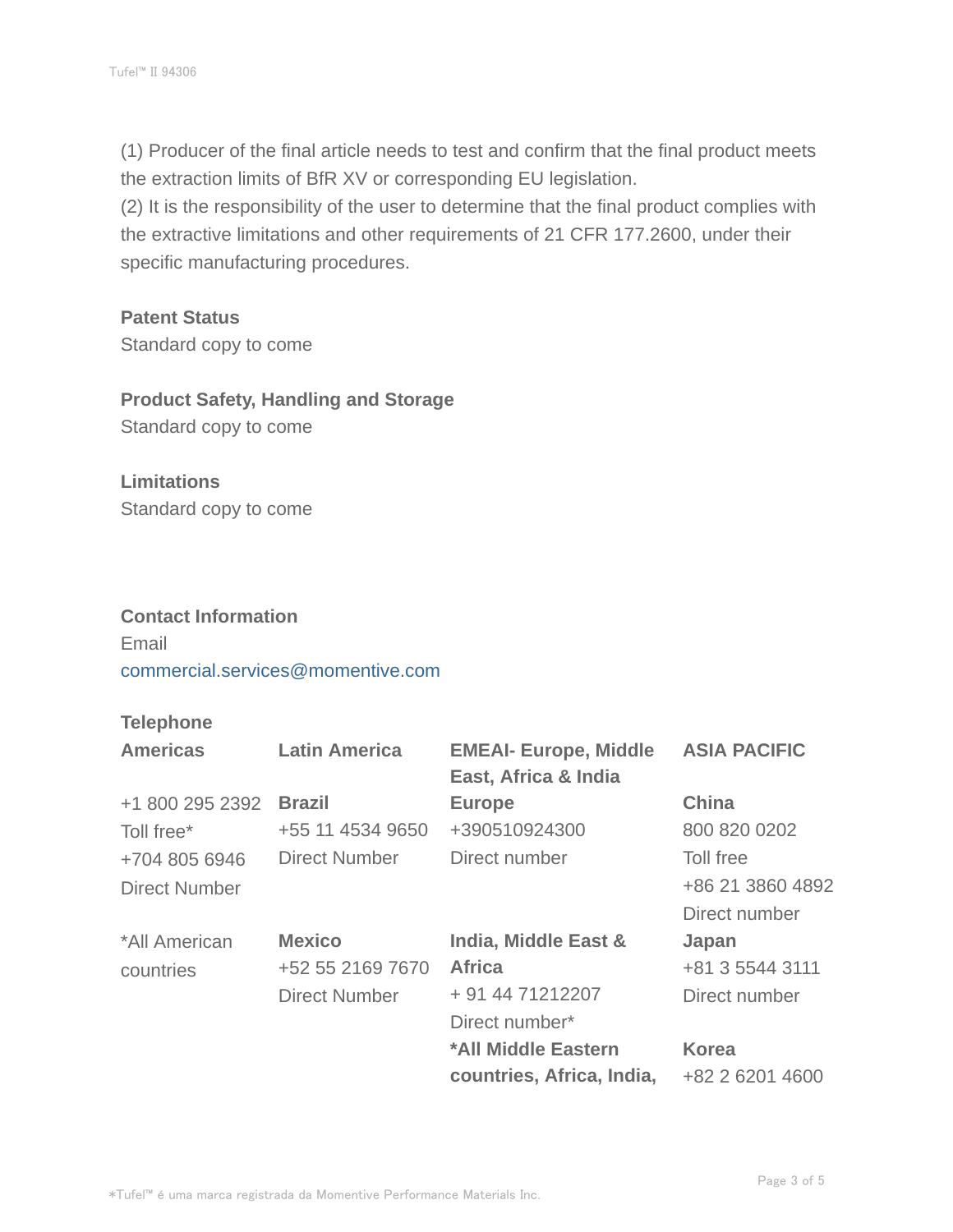(1) Producer of the final article needs to test and confirm that the final product meets the extraction limits of BfR XV or corresponding EU legislation.

(2) It is the responsibility of the user to determine that the final product complies with the extractive limitations and other requirements of 21 CFR 177.2600, under their specific manufacturing procedures.

#### **Patent Status**

Standard copy to come

### **Product Safety, Handling and Storage**

Standard copy to come

# **Limitations**

Standard copy to come

#### **Contact Information**

Email commercial.services@momentive.com

#### **Telephone**

| <b>Americas</b> | <b>Latin America</b> | <b>EMEAI- Europe, Middle</b><br>East, Africa & India | <b>ASIA PACIFIC</b> |
|-----------------|----------------------|------------------------------------------------------|---------------------|
| +1 800 295 2392 | <b>Brazil</b>        | <b>Europe</b>                                        | China               |
| Toll free*      | +55 11 4534 9650     | +390510924300                                        | 800 820 0202        |
| +704 805 6946   | Direct Number        | Direct number                                        | Toll free           |
| Direct Number   |                      |                                                      | +86 21 3860 4892    |
|                 |                      |                                                      | Direct number       |
| *All American   | <b>Mexico</b>        | India, Middle East &                                 | Japan               |
| countries       | +52 55 2169 7670     | <b>Africa</b>                                        | +81 3 5544 3111     |
|                 | <b>Direct Number</b> | + 91 44 71212207                                     | Direct number       |
|                 |                      | Direct number*                                       |                     |
|                 |                      | *All Middle Eastern                                  | <b>Korea</b>        |
|                 |                      | countries, Africa, India,                            | +82 2 6201 4600     |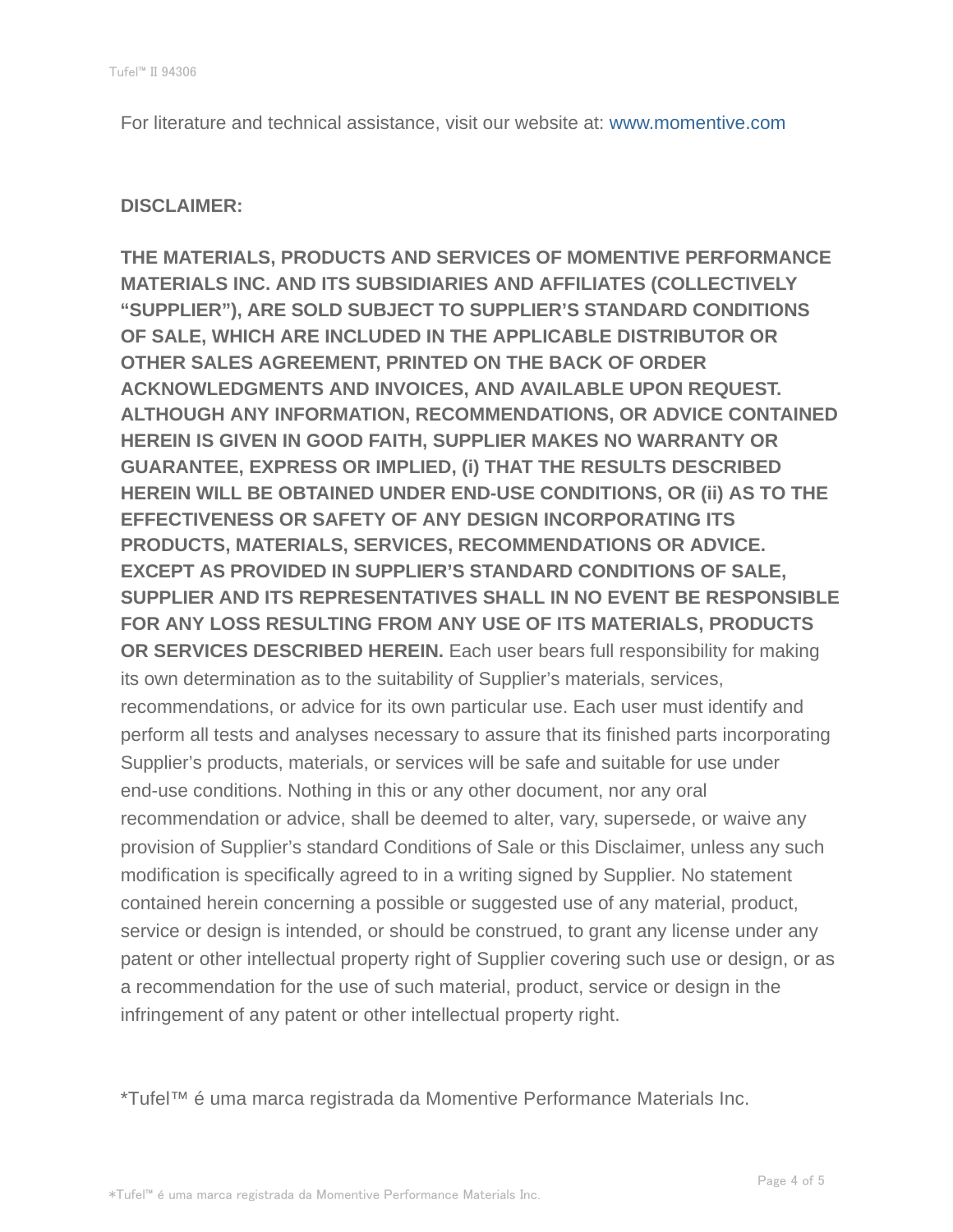For literature and technical assistance, visit our website at: www.momentive.com

#### **DISCLAIMER:**

**THE MATERIALS, PRODUCTS AND SERVICES OF MOMENTIVE PERFORMANCE MATERIALS INC. AND ITS SUBSIDIARIES AND AFFILIATES (COLLECTIVELY "SUPPLIER"), ARE SOLD SUBJECT TO SUPPLIER'S STANDARD CONDITIONS OF SALE, WHICH ARE INCLUDED IN THE APPLICABLE DISTRIBUTOR OR OTHER SALES AGREEMENT, PRINTED ON THE BACK OF ORDER ACKNOWLEDGMENTS AND INVOICES, AND AVAILABLE UPON REQUEST. ALTHOUGH ANY INFORMATION, RECOMMENDATIONS, OR ADVICE CONTAINED HEREIN IS GIVEN IN GOOD FAITH, SUPPLIER MAKES NO WARRANTY OR GUARANTEE, EXPRESS OR IMPLIED, (i) THAT THE RESULTS DESCRIBED HEREIN WILL BE OBTAINED UNDER END-USE CONDITIONS, OR (ii) AS TO THE EFFECTIVENESS OR SAFETY OF ANY DESIGN INCORPORATING ITS PRODUCTS, MATERIALS, SERVICES, RECOMMENDATIONS OR ADVICE. EXCEPT AS PROVIDED IN SUPPLIER'S STANDARD CONDITIONS OF SALE, SUPPLIER AND ITS REPRESENTATIVES SHALL IN NO EVENT BE RESPONSIBLE FOR ANY LOSS RESULTING FROM ANY USE OF ITS MATERIALS, PRODUCTS OR SERVICES DESCRIBED HEREIN.** Each user bears full responsibility for making its own determination as to the suitability of Supplier's materials, services, recommendations, or advice for its own particular use. Each user must identify and perform all tests and analyses necessary to assure that its finished parts incorporating Supplier's products, materials, or services will be safe and suitable for use under end-use conditions. Nothing in this or any other document, nor any oral recommendation or advice, shall be deemed to alter, vary, supersede, or waive any provision of Supplier's standard Conditions of Sale or this Disclaimer, unless any such modification is specifically agreed to in a writing signed by Supplier. No statement contained herein concerning a possible or suggested use of any material, product, service or design is intended, or should be construed, to grant any license under any patent or other intellectual property right of Supplier covering such use or design, or as a recommendation for the use of such material, product, service or design in the infringement of any patent or other intellectual property right.

\*Tufel™ é uma marca registrada da Momentive Performance Materials Inc.